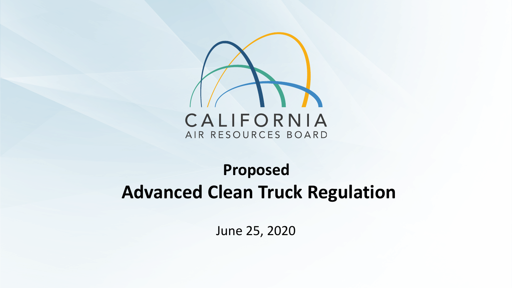

### **Proposed Advanced Clean Truck Regulation**

June 25, 2020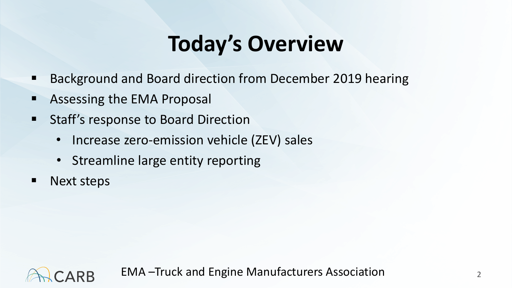# **Today's Overview**

- Background and Board direction from December 2019 hearing
- **EXECUTE:** Assessing the EMA Proposal
- **EXECT:** Staff's response to Board Direction
	- Increase zero-emission vehicle (ZEV) sales
	- Streamline large entity reporting
- **Next steps**

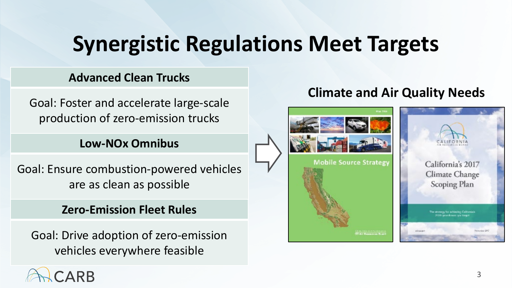# **Synergistic Regulations Meet Targets**

#### **Advanced Clean Trucks**

Goal: Foster and accelerate large-scale production of zero-emission trucks

#### **Low-NOx Omnibus**

Goal: Ensure combustion-powered vehicles are as clean as possible

#### **Zero-Emission Fleet Rules**

Goal: Drive adoption of zero-emission vehicles everywhere feasible

### **Climate and Air Quality Needs**



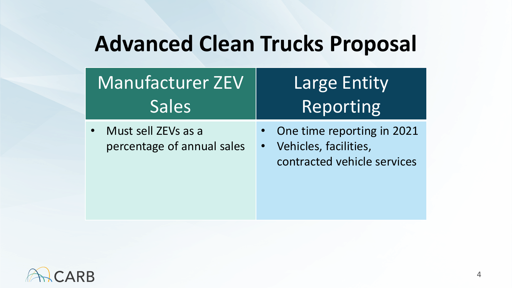### **Advanced Clean Trucks Proposal**

| <b>Manufacturer ZEV</b>                           | <b>Large Entity</b>                                                                |
|---------------------------------------------------|------------------------------------------------------------------------------------|
| <b>Sales</b>                                      | Reporting                                                                          |
| Must sell ZEVs as a<br>percentage of annual sales | One time reporting in 2021<br>Vehicles, facilities,<br>contracted vehicle services |

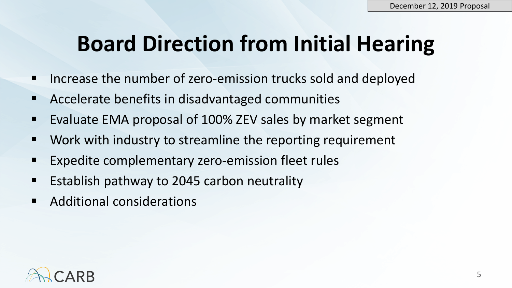### **Board Direction from Initial Hearing**

- Increase the number of zero-emission trucks sold and deployed
- Accelerate benefits in disadvantaged communities
- Evaluate EMA proposal of 100% ZEV sales by market segment
- Work with industry to streamline the reporting requirement
- **Expedite complementary zero-emission fleet rules**
- **Example 1** Establish pathway to 2045 carbon neutrality
- Additional considerations

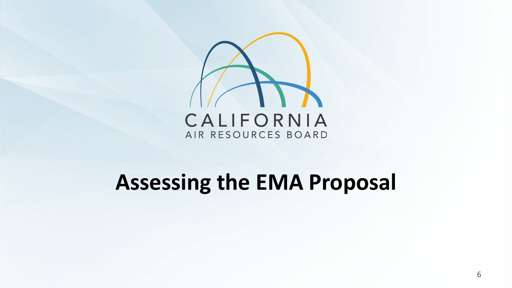

### **Assessing the EMA Proposal**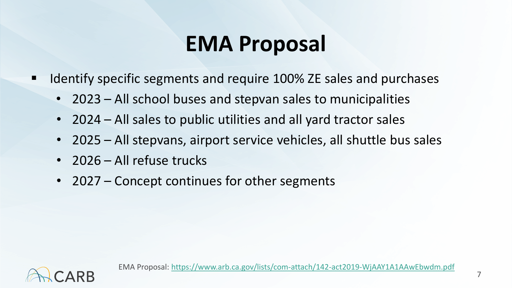### **EMA Proposal**

- Identify specific segments and require 100% ZE sales and purchases
	- 2023 All school buses and stepvan sales to municipalities
	- 2024 All sales to public utilities and all yard tractor sales
	- 2025 All stepvans, airport service vehicles, all shuttle bus sales
	- 2026 All refuse trucks
	- 2027 Concept continues for other segments

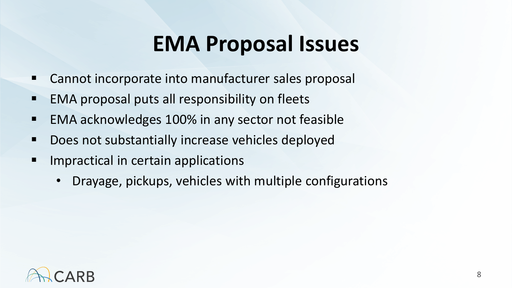### **EMA Proposal Issues**

- Cannot incorporate into manufacturer sales proposal
- EMA proposal puts all responsibility on fleets
- EMA acknowledges 100% in any sector not feasible
- Does not substantially increase vehicles deployed
- **If Impractical in certain applications** 
	- Drayage, pickups, vehicles with multiple configurations

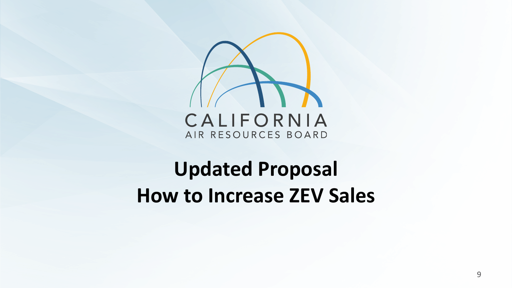

### **Updated Proposal How to Increase ZEV Sales**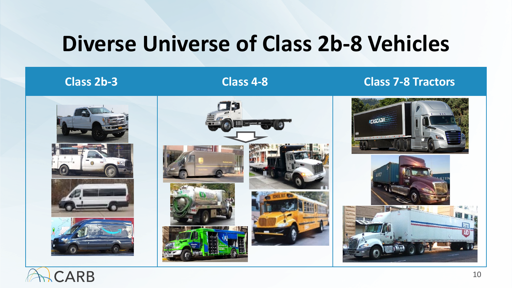### **Diverse Universe of Class 2b-8 Vehicles**

#### **Class 2b-3 Class 4-8 Class 7-8 Tractors**











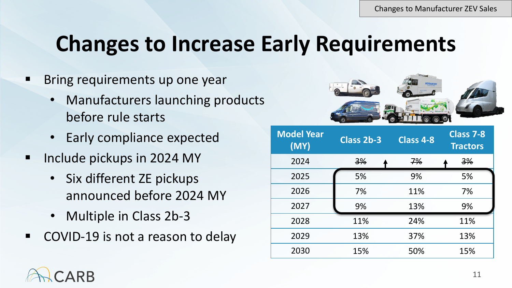### **Changes to Increase Early Requirements**

- Bring requirements up one year
	- Manufacturers launching products before rule starts
	- Early compliance expected
- Include pickups in 2024 MY
	- Six different ZE pickups announced before 2024 MY
	- Multiple in Class 2b-3
- COVID-19 is not a reason to delay



| <b>Model Year</b><br>(MY) | Class 2b-3 | <b>Class 4-8</b> | <b>Class 7-8</b><br><b>Tractors</b> |
|---------------------------|------------|------------------|-------------------------------------|
| 2024                      | 3%         | 7%               | 3%                                  |
| 2025                      | 5%         | 9%               | 5%                                  |
| 2026                      | 7%         | 11%              | 7%                                  |
| 2027                      | 9%         | 13%              | 9%                                  |
| 2028                      | 11%        | 24%              | 11%                                 |
| 2029                      | 13%        | 37%              | 13%                                 |
| 2030                      | 15%        | 50%              | 15%                                 |

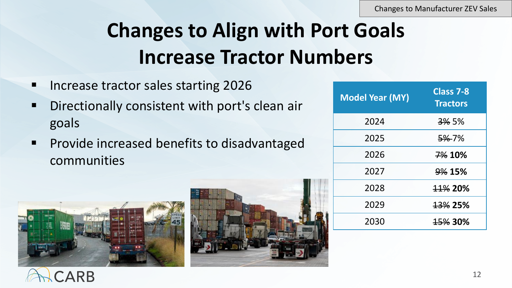Changes to Manufacturer ZEV Sales

### **Changes to Align with Port Goals Increase Tractor Numbers**

- **Increase tractor sales starting 2026**
- **Directionally consistent with port's clean air** goals
- **Provide increased benefits to disadvantaged** communities

| <b>Model Year (MY)</b> | Class 7-8<br><b>Tractors</b> |
|------------------------|------------------------------|
| 2024                   | <del>3%</del> 5%             |
| 2025                   | 5%-7%                        |
| 2026                   | 7% 10%                       |
| 2027                   | 9% 15%                       |
| 2028                   | 11% 20%                      |
| 2029                   | <b>13% 25%</b>               |
| 2030                   | 15% 30%                      |



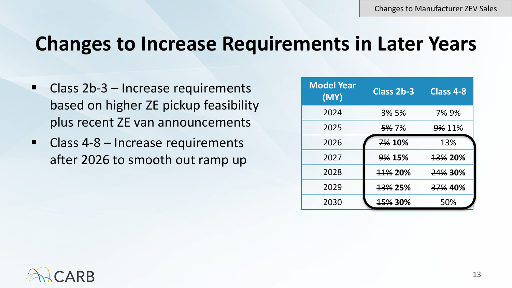### **Changes to Increase Requirements in Later Years**

- Class 2b-3 Increase requirements based on higher ZE pickup feasibility plus recent ZE van announcements
- Class 4-8 Increase requirements after 2026 to smooth out ramp up

| <b>Model Year</b><br>(MY) | Class 2b-3       | <b>Class 4-8</b>   |
|---------------------------|------------------|--------------------|
| 2024                      | <del>3%</del> 5% | 7% 9%              |
| 2025                      | <del>5%</del> 7% | <b>9% 11%</b>      |
| 2026                      | 7% 10%           | 13%                |
| 2027                      | 9% 15%           | <del>13%</del> 20% |
| 2028                      | <b>11% 20%</b>   | 24% 30%            |
| 2029                      | <b>13% 25%</b>   | 37% 40%            |
| 2030                      | <b>15% 30%</b>   | 50%                |

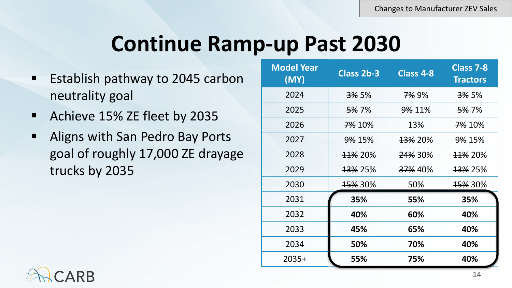### **Continue Ramp-up Past 2030**

- **Example 1** Establish pathway to 2045 carbon neutrality goal
- **Achieve 15% ZE fleet by 2035**
- **Aligns with San Pedro Bay Ports** goal of roughly 17,000 ZE drayage trucks by 2035

| <b>Model Year</b><br>(MY) | Class 2b-3         | Class 4-8          | Class 7-8<br><b>Tractors</b> |
|---------------------------|--------------------|--------------------|------------------------------|
| 2024                      | <del>3%</del> 5%   | <del>7%</del> 9%   | <del>3%</del> 5%             |
| 2025                      | <del>5%</del> 7%   | <b>9% 11%</b>      | <del>5%</del> 7%             |
| 2026                      | <del>7%</del> 10%  | 13%                | 7% 10%                       |
| 2027                      | <b>9% 15%</b>      | <del>13%</del> 20% | <b>9% 15%</b>                |
| 2028                      | <del>11%</del> 20% | <del>24%</del> 30% | <del>11%</del> 20%           |
| 2029                      | <del>13%</del> 25% | <del>37%</del> 40% | <del>13%</del> 25%           |
| 2030                      | <del>15%</del> 30% | 50%                | <del>15%</del> 30%           |
| 2031                      | 35%                | 55%                | 35%                          |
| 2032                      | 40%                | 60%                | 40%                          |
| 2033                      | 45%                | 65%                | 40%                          |
| 2034                      | 50%                | 70%                | 40%                          |
| $2035+$                   | 55%                | 75%                | 40%                          |

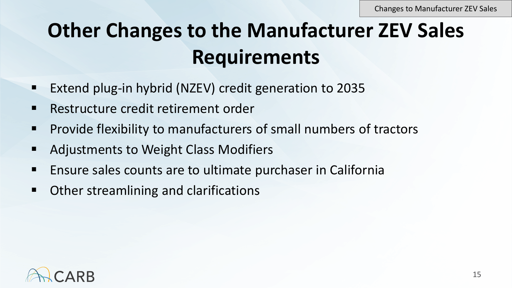### **Other Changes to the Manufacturer ZEV Sales Requirements**

- **Extend plug-in hybrid (NZEV) credit generation to 2035**
- Restructure credit retirement order
- **Provide flexibility to manufacturers of small numbers of tractors**
- Adjustments to Weight Class Modifiers
- Ensure sales counts are to ultimate purchaser in California
- **Other streamlining and clarifications**

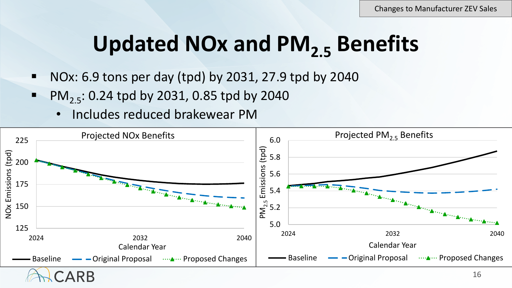# **Updated NOx and PM2.5 Benefits**

- $\blacksquare$  NOx: 6.9 tons per day (tpd) by 2031, 27.9 tpd by 2040
- PM<sub>2.5</sub>: 0.24 tpd by 2031, 0.85 tpd by 2040
	- Includes reduced brakewear PM

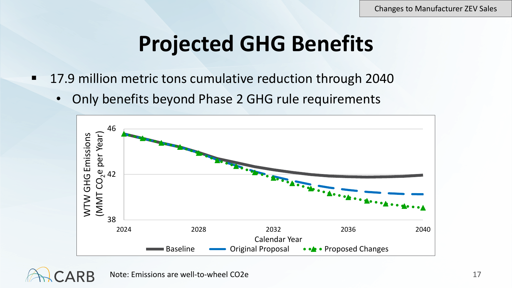### **Projected GHG Benefits**

- 17.9 million metric tons cumulative reduction through 2040
	- Only benefits beyond Phase 2 GHG rule requirements



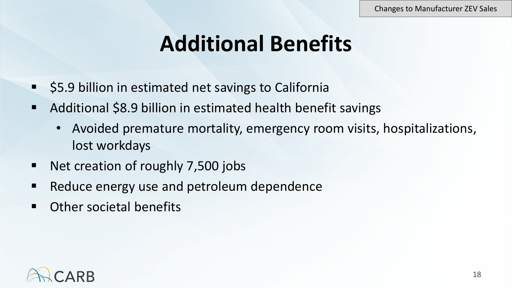### **Additional Benefits**

- **55.9 billion in estimated net savings to California**
- Additional \$8.9 billion in estimated health benefit savings
	- Avoided premature mortality, emergency room visits, hospitalizations, lost workdays
- Net creation of roughly 7,500 jobs
- Reduce energy use and petroleum dependence
- Other societal benefits

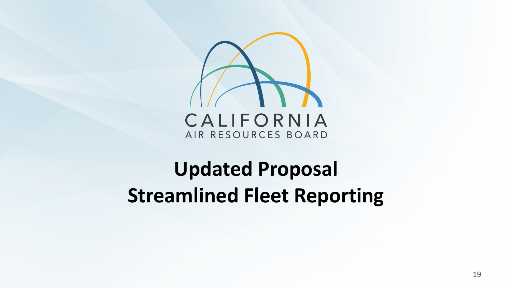

### **Updated Proposal Streamlined Fleet Reporting**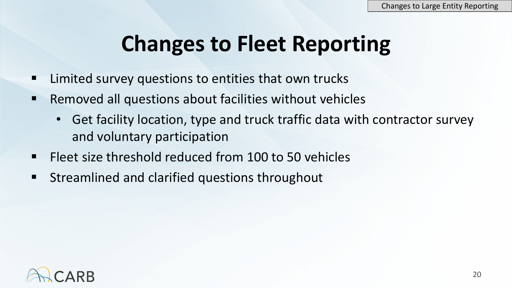### **Changes to Fleet Reporting**

- Limited survey questions to entities that own trucks
- $\blacksquare$  Removed all questions about facilities without vehicles
	- Get facility location, type and truck traffic data with contractor survey and voluntary participation
- **Figure 100 to 50 vehicles** Fleet size threshold reduced from 100 to 50 vehicles
- **EXTEDEMIGEDEDITY STREAMING STATE STATE STATE**

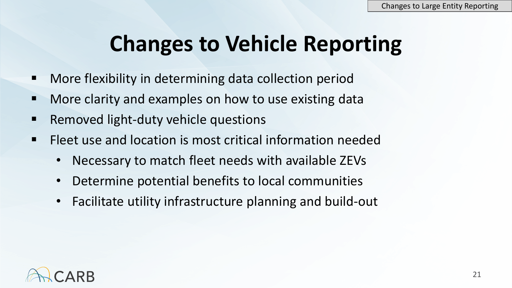### **Changes to Vehicle Reporting**

- More flexibility in determining data collection period
- More clarity and examples on how to use existing data
- Removed light-duty vehicle questions
- Fleet use and location is most critical information needed
	- Necessary to match fleet needs with available ZEVs
	- Determine potential benefits to local communities
	- Facilitate utility infrastructure planning and build-out

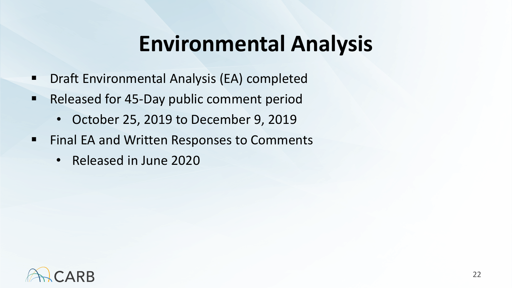### **Environmental Analysis**

- **Draft Environmental Analysis (EA) completed**
- Released for 45-Day public comment period
	- October 25, 2019 to December 9, 2019
- **Final EA and Written Responses to Comments** 
	- Released in June 2020